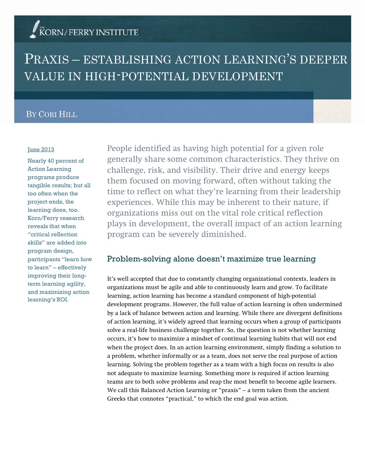# KORN/FERRY INSTITUTE

# PRAXIS – ESTABLISHING ACTION LEARNING'S DEEPER VALUE IN HIGH-POTENTIAL DEVELOPMENT

## BY CORI HILL

#### June 2013

Nearly 40 percent of Action Learning programs produce tangible results; but all too often when the project ends, the learning does, too. Korn/Ferry research reveals that when "critical reflection skills" are added into program design, participants "learn how to learn" – effectively improving their longterm learning agility, and maximizing action learning's ROI.

People identified as having high potential for a given role generally share some common characteristics. They thrive on challenge, risk, and visibility. Their drive and energy keeps them focused on moving forward, often without taking the time to reflect on what they're learning from their leadership experiences. While this may be inherent to their nature, if organizations miss out on the vital role critical reflection plays in development, the overall impact of an action learning program can be severely diminished.

## Problem-solving alone doesn't maximize true learning

It's well accepted that due to constantly changing organizational contexts, leaders in organizations must be agile and able to continuously learn and grow. To facilitate learning, action learning has become a standard component of high-potential development programs. However, the full value of action learning is often undermined by a lack of balance between action and learning. While there are divergent definitions of action learning, it's widely agreed that learning occurs when a group of participants solve a real-life business challenge together. So, the question is not whether learning occurs, it's how to maximize a mindset of continual learning habits that will not end when the project does. In an action learning environment, simply finding a solution to a problem, whether informally or as a team, does not serve the real purpose of action learning. Solving the problem together as a team with a high focus on results is also not adequate to maximize learning. Something more is required if action learning teams are to both solve problems and reap the most benefit to become agile learners. We call this Balanced Action Learning or "praxis" – a term taken from the ancient Greeks that connotes "practical," to which the end goal was action.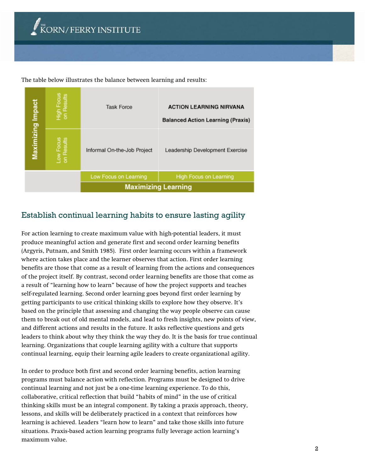The table below illustrates the balance between learning and results:

|                   |                          | <b>Maximizing Learning</b>  |                                                                            |
|-------------------|--------------------------|-----------------------------|----------------------------------------------------------------------------|
|                   |                          | Low Focus on Learning       | High Focus on Learning                                                     |
| Maximizing Impact | Low Focus<br>on Results  | Informal On-the-Job Project | Leadership Development Exercise                                            |
|                   | High Focus<br>on Results | <b>Task Force</b>           | <b>ACTION LEARNING NIRVANA</b><br><b>Balanced Action Learning (Praxis)</b> |

# Establish continual learning habits to ensure lasting agility

For action learning to create maximum value with high-potential leaders, it must produce meaningful action and generate first and second order learning benefits (Argyris, Putnam, and Smith 1985). First order learning occurs within a framework where action takes place and the learner observes that action. First order learning benefits are those that come as a result of learning from the actions and consequences of the project itself. By contrast, second order learning benefits are those that come as a result of "learning how to learn" because of how the project supports and teaches self-regulated learning. Second order learning goes beyond first order learning by getting participants to use critical thinking skills to explore how they observe. It's based on the principle that assessing and changing the way people observe can cause them to break out of old mental models, and lead to fresh insights, new points of view, and different actions and results in the future. It asks reflective questions and gets leaders to think about why they think the way they do. It is the basis for true continual learning. Organizations that couple learning agility with a culture that supports continual learning, equip their learning agile leaders to create organizational agility.

In order to produce both first and second order learning benefits, action learning programs must balance action with reflection. Programs must be designed to drive continual learning and not just be a one-time learning experience. To do this, collaborative, critical reflection that build "habits of mind" in the use of critical thinking skills must be an integral component. By taking a praxis approach, theory, lessons, and skills will be deliberately practiced in a context that reinforces how learning is achieved. Leaders "learn how to learn" and take those skills into future situations. Praxis-based action learning programs fully leverage action learning's maximum value.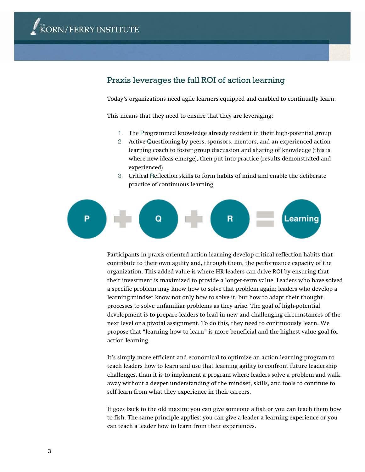## Praxis leverages the full ROI of action learning

Today's organizations need agile learners equipped and enabled to continually learn.

This means that they need to ensure that they are leveraging:

- 1. The Programmed knowledge already resident in their high-potential group
- 2. Active Questioning by peers, sponsors, mentors, and an experienced action learning coach to foster group discussion and sharing of knowledge (this is where new ideas emerge), then put into practice (results demonstrated and experienced)
- 3. Critical Reflection skills to form habits of mind and enable the deliberate practice of continuous learning



Participants in praxis-oriented action learning develop critical reflection habits that contribute to their own agility and, through them, the performance capacity of the organization. This added value is where HR leaders can drive ROI by ensuring that their investment is maximized to provide a longer-term value. Leaders who have solved a specific problem may know how to solve that problem again; leaders who develop a learning mindset know not only how to solve it, but how to adapt their thought processes to solve unfamiliar problems as they arise. The goal of high-potential development is to prepare leaders to lead in new and challenging circumstances of the next level or a pivotal assignment. To do this, they need to continuously learn. We propose that "learning how to learn" is more beneficial and the highest value goal for action learning.

It's simply more efficient and economical to optimize an action learning program to teach leaders how to learn and use that learning agility to confront future leadership challenges, than it is to implement a program where leaders solve a problem and walk away without a deeper understanding of the mindset, skills, and tools to continue to self-learn from what they experience in their careers.

It goes back to the old maxim: you can give someone a fish or you can teach them how to fish. The same principle applies: you can give a leader a learning experience or you can teach a leader how to learn from their experiences.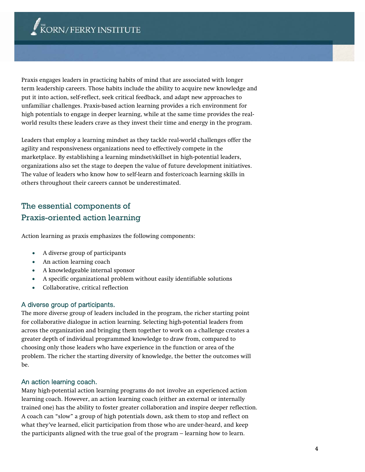Praxis engages leaders in practicing habits of mind that are associated with longer term leadership careers. Those habits include the ability to acquire new knowledge and put it into action, self-reflect, seek critical feedback, and adapt new approaches to unfamiliar challenges. Praxis-based action learning provides a rich environment for high potentials to engage in deeper learning, while at the same time provides the realworld results these leaders crave as they invest their time and energy in the program.

Leaders that employ a learning mindset as they tackle real-world challenges offer the agility and responsiveness organizations need to effectively compete in the marketplace. By establishing a learning mindset/skillset in high-potential leaders, organizations also set the stage to deepen the value of future development initiatives. The value of leaders who know how to self-learn and foster/coach learning skills in others throughout their careers cannot be underestimated.

# The essential components of Praxis-oriented action learning

Action learning as praxis emphasizes the following components:

- A diverse group of participants
- An action learning coach
- A knowledgeable internal sponsor
- A specific organizational problem without easily identifiable solutions
- Collaborative, critical reflection

### A diverse group of participants.

The more diverse group of leaders included in the program, the richer starting point for collaborative dialogue in action learning. Selecting high-potential leaders from across the organization and bringing them together to work on a challenge creates a greater depth of individual programmed knowledge to draw from, compared to choosing only those leaders who have experience in the function or area of the problem. The richer the starting diversity of knowledge, the better the outcomes will be.

#### An action learning coach.

Many high-potential action learning programs do not involve an experienced action learning coach. However, an action learning coach (either an external or internally trained one) has the ability to foster greater collaboration and inspire deeper reflection. A coach can "slow" a group of high potentials down, ask them to stop and reflect on what they've learned, elicit participation from those who are under-heard, and keep the participants aligned with the true goal of the program – learning how to learn.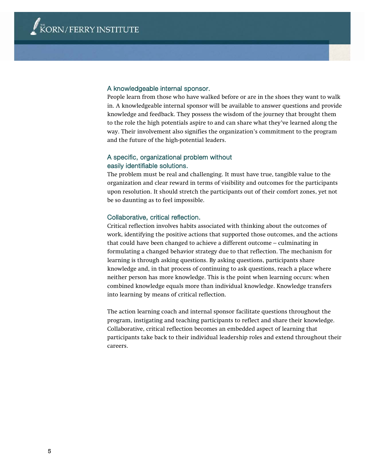#### A knowledgeable internal sponsor.

People learn from those who have walked before or are in the shoes they want to walk in. A knowledgeable internal sponsor will be available to answer questions and provide knowledge and feedback. They possess the wisdom of the journey that brought them to the role the high potentials aspire to and can share what they've learned along the way. Their involvement also signifies the organization's commitment to the program and the future of the high-potential leaders.

## A specific, organizational problem without easily identifiable solutions.

The problem must be real and challenging. It must have true, tangible value to the organization and clear reward in terms of visibility and outcomes for the participants upon resolution. It should stretch the participants out of their comfort zones, yet not be so daunting as to feel impossible.

#### Collaborative, critical reflection.

Critical reflection involves habits associated with thinking about the outcomes of work, identifying the positive actions that supported those outcomes, and the actions that could have been changed to achieve a different outcome – culminating in formulating a changed behavior strategy due to that reflection. The mechanism for learning is through asking questions. By asking questions, participants share knowledge and, in that process of continuing to ask questions, reach a place where neither person has more knowledge. This is the point when learning occurs: when combined knowledge equals more than individual knowledge. Knowledge transfers into learning by means of critical reflection.

The action learning coach and internal sponsor facilitate questions throughout the program, instigating and teaching participants to reflect and share their knowledge. Collaborative, critical reflection becomes an embedded aspect of learning that participants take back to their individual leadership roles and extend throughout their careers.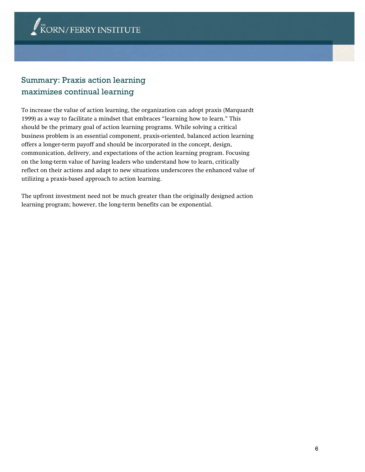# Summary: Praxis action learning maximizes continual learning

To increase the value of action learning, the organization can adopt praxis (Marquardt 1999) as a way to facilitate a mindset that embraces "learning how to learn." This should be the primary goal of action learning programs. While solving a critical business problem is an essential component, praxis-oriented, balanced action learning offers a longer-term payoff and should be incorporated in the concept, design, communication, delivery, and expectations of the action learning program. Focusing on the long-term value of having leaders who understand how to learn, critically reflect on their actions and adapt to new situations underscores the enhanced value of utilizing a praxis-based approach to action learning.

The upfront investment need not be much greater than the originally designed action learning program; however, the long-term benefits can be exponential.